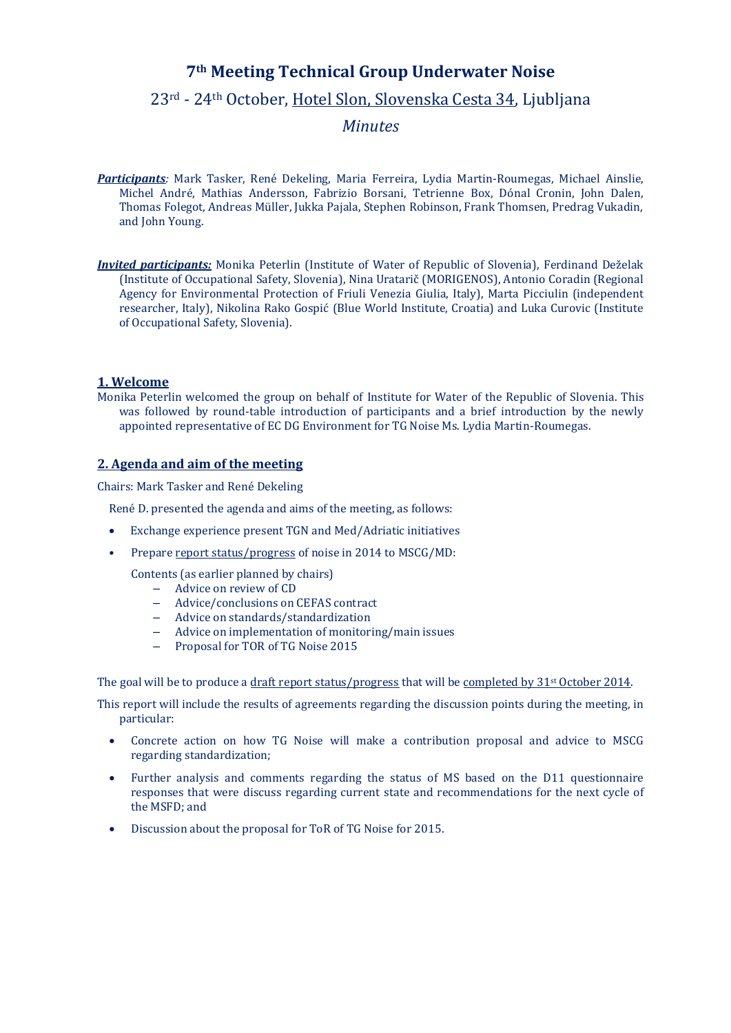# **7th Meeting Technical Group Underwater Noise**

# 23rd - 24th October, Hotel Slon, Slovenska Cesta 34, Ljubljana

*Minutes*

- *Participants:* Mark Tasker, René Dekeling, Maria Ferreira, Lydia Martin-Roumegas, Michael Ainslie, Michel André, Mathias Andersson, Fabrizio Borsani, Tetrienne Box, Dónal Cronin, John Dalen, Thomas Folegot, Andreas Müller, Jukka Pajala, Stephen Robinson, Frank Thomsen, Predrag Vukadin, and John Young.
- *Invited participants:* Monika Peterlin (Institute of Water of Republic of Slovenia), Ferdinand Deželak (Institute of Occupational Safety, Slovenia), Nina Uratarič (MORIGENOS), Antonio Coradin (Regional Agency for Environmental Protection of Friuli Venezia Giulia, Italy), Marta Picciulin (independent researcher, Italy), Nikolina Rako Gospić (Blue World Institute, Croatia) and Luka Curovic (Institute of Occupational Safety, Slovenia).

### **1. Welcome**

Monika Peterlin welcomed the group on behalf of Institute for Water of the Republic of Slovenia. This was followed by round-table introduction of participants and a brief introduction by the newly appointed representative of EC DG Environment for TG Noise Ms. Lydia Martin-Roumegas.

### **2. Agenda and aim of the meeting**

Chairs: Mark Tasker and René Dekeling

René D. presented the agenda and aims of the meeting, as follows:

- Exchange experience present TGN and Med/Adriatic initiatives
- Prepare report status/progress of noise in 2014 to MSCG/MD:

Contents (as earlier planned by chairs)

- Advice on review of CD
- Advice/conclusions on CEFAS contract
- Advice on standards/standardization
- Advice on implementation of monitoring/main issues
- Proposal for TOR of TG Noise 2015

The goal will be to produce a draft report status/progress that will be completed by 31<sup>st</sup> October 2014.

This report will include the results of agreements regarding the discussion points during the meeting, in particular:

- Concrete action on how TG Noise will make a contribution proposal and advice to MSCG regarding standardization;
- Further analysis and comments regarding the status of MS based on the D11 questionnaire responses that were discuss regarding current state and recommendations for the next cycle of the MSFD; and
- Discussion about the proposal for ToR of TG Noise for 2015.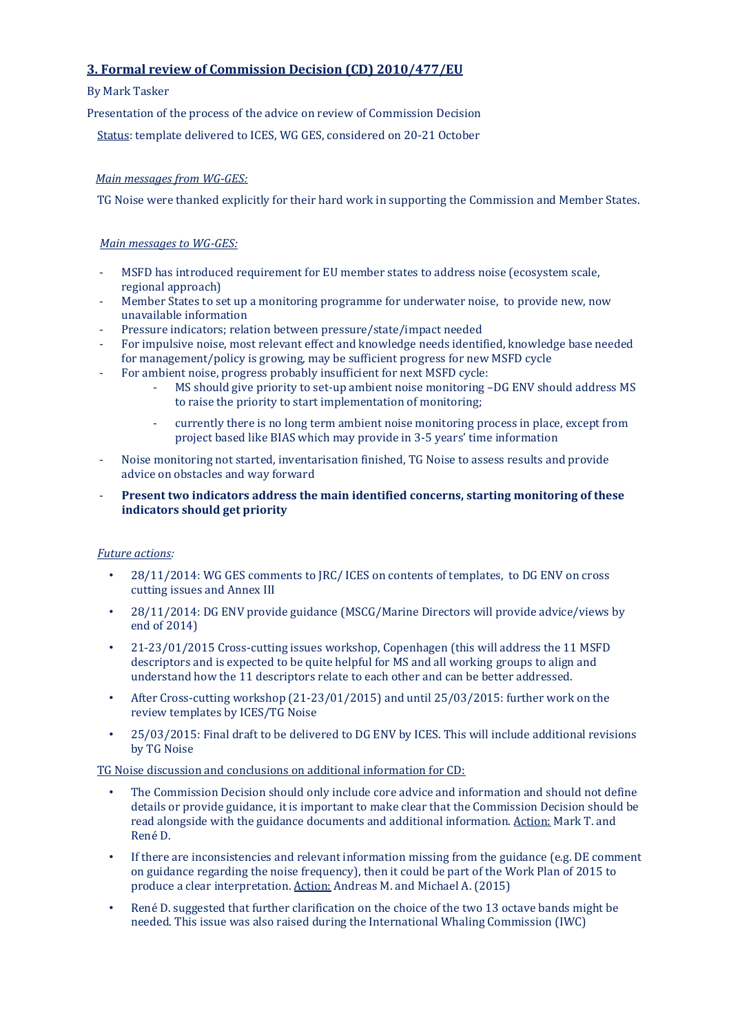# **3. Formal review of Commission Decision (CD) 2010/477/EU**

### By Mark Tasker

Presentation of the process of the advice on review of Commission Decision

Status: template delivered to ICES, WG GES, considered on 20-21 October

### *Main messages from WG-GES:*

TG Noise were thanked explicitly for their hard work in supporting the Commission and Member States.

### *Main messages to WG-GES:*

- MSFD has introduced requirement for EU member states to address noise (ecosystem scale, regional approach)
- Member States to set up a monitoring programme for underwater noise, to provide new, now unavailable information
- Pressure indicators; relation between pressure/state/impact needed
- For impulsive noise, most relevant effect and knowledge needs identified, knowledge base needed for management/policy is growing, may be sufficient progress for new MSFD cycle
- For ambient noise, progress probably insufficient for next MSFD cycle:
	- MS should give priority to set-up ambient noise monitoring –DG ENV should address MS to raise the priority to start implementation of monitoring;
	- currently there is no long term ambient noise monitoring process in place, except from project based like BIAS which may provide in 3-5 years' time information
- Noise monitoring not started, inventarisation finished, TG Noise to assess results and provide advice on obstacles and way forward
- **Present two indicators address the main identified concerns, starting monitoring of these indicators should get priority**

# *Future actions:*

- 28/11/2014: WG GES comments to JRC/ ICES on contents of templates, to DG ENV on cross cutting issues and Annex III
- 28/11/2014: DG ENV provide guidance (MSCG/Marine Directors will provide advice/views by end of 2014)
- 21-23/01/2015 Cross-cutting issues workshop, Copenhagen (this will address the 11 MSFD descriptors and is expected to be quite helpful for MS and all working groups to align and understand how the 11 descriptors relate to each other and can be better addressed.
- After Cross-cutting workshop (21-23/01/2015) and until 25/03/2015: further work on the review templates by ICES/TG Noise
- 25/03/2015: Final draft to be delivered to DG ENV by ICES. This will include additional revisions by TG Noise

TG Noise discussion and conclusions on additional information for CD:

- The Commission Decision should only include core advice and information and should not define details or provide guidance, it is important to make clear that the Commission Decision should be read alongside with the guidance documents and additional information. Action: Mark T. and René D.
- If there are inconsistencies and relevant information missing from the guidance (e.g. DE comment on guidance regarding the noise frequency), then it could be part of the Work Plan of 2015 to produce a clear interpretation. Action: Andreas M. and Michael A. (2015)
- René D. suggested that further clarification on the choice of the two 13 octave bands might be needed. This issue was also raised during the International Whaling Commission (IWC)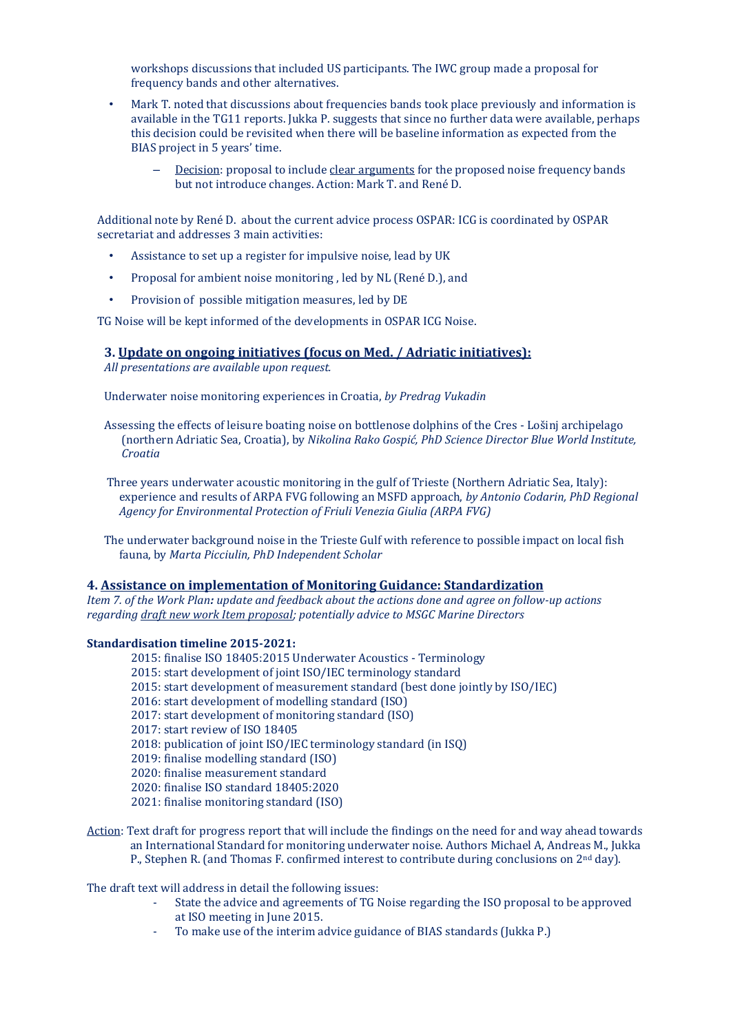workshops discussions that included US participants. The IWC group made a proposal for frequency bands and other alternatives.

- Mark T. noted that discussions about frequencies bands took place previously and information is available in the TG11 reports. Jukka P. suggests that since no further data were available, perhaps this decision could be revisited when there will be baseline information as expected from the BIAS project in 5 years' time.
	- Decision: proposal to include clear arguments for the proposed noise frequency bands but not introduce changes. Action: Mark T. and René D.

Additional note by René D. about the current advice process OSPAR: ICG is coordinated by OSPAR secretariat and addresses 3 main activities:

- Assistance to set up a register for impulsive noise, lead by UK
- Proposal for ambient noise monitoring , led by NL (René D.), and
- Provision of possible mitigation measures, led by DE

TG Noise will be kept informed of the developments in OSPAR ICG Noise.

### **3. Update on ongoing initiatives (focus on Med. / Adriatic initiatives):**

*All presentations are available upon request.*

Underwater noise monitoring experiences in Croatia, *by Predrag Vukadin*

Assessing the effects of leisure boating noise on bottlenose dolphins of the Cres - Lošinj archipelago (northern Adriatic Sea, Croatia), by *Nikolina Rako Gospić, PhD Science Director Blue World Institute, Croatia*

Three years underwater acoustic monitoring in the gulf of Trieste (Northern Adriatic Sea, Italy): experience and results of ARPA FVG following an MSFD approach, *by Antonio Codarin, PhD Regional Agency for Environmental Protection of Friuli Venezia Giulia (ARPA FVG)*

The underwater background noise in the Trieste Gulf with reference to possible impact on local fish fauna, by *Marta Picciulin, PhD Independent Scholar*

#### **4. Assistance on implementation of Monitoring Guidance: Standardization**

*Item 7. of the Work Plan: update and feedback about the actions done and agree on follow-up actions regarding draft new work Item proposal; potentially advice to MSGC Marine Directors*

#### **Standardisation timeline 2015-2021:**

- 2015: finalise ISO 18405:2015 Underwater Acoustics Terminology
- 2015: start development of joint ISO/IEC terminology standard
- 2015: start development of measurement standard (best done jointly by ISO/IEC)
- 2016: start development of modelling standard (ISO)
- 2017: start development of monitoring standard (ISO)

2017: start review of ISO 18405

2018: publication of joint ISO/IEC terminology standard (in ISQ)

2019: finalise modelling standard (ISO)

2020: finalise measurement standard

2020: finalise ISO standard 18405:2020

2021: finalise monitoring standard (ISO)

Action: Text draft for progress report that will include the findings on the need for and way ahead towards an International Standard for monitoring underwater noise. Authors Michael A, Andreas M., Jukka P., Stephen R. (and Thomas F. confirmed interest to contribute during conclusions on 2<sup>nd</sup> day).

The draft text will address in detail the following issues:

- State the advice and agreements of TG Noise regarding the ISO proposal to be approved at ISO meeting in June 2015.
- To make use of the interim advice guidance of BIAS standards (Jukka P.)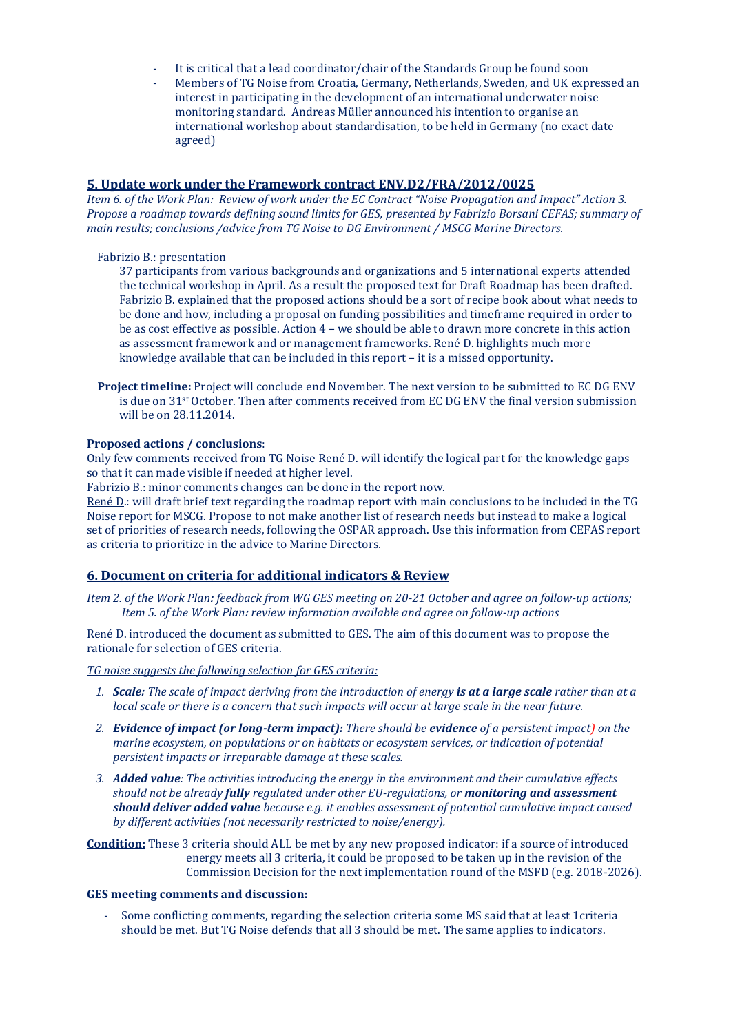- It is critical that a lead coordinator/chair of the Standards Group be found soon
- Members of TG Noise from Croatia, Germany, Netherlands, Sweden, and UK expressed an interest in participating in the development of an international underwater noise monitoring standard. Andreas Müller announced his intention to organise an international workshop about standardisation, to be held in Germany (no exact date agreed)

### **5. Update work under the Framework contract ENV.D2/FRA/2012/0025**

*Item 6. of the Work Plan: Review of work under the EC Contract "Noise Propagation and Impact" Action 3. Propose a roadmap towards defining sound limits for GES, presented by Fabrizio Borsani CEFAS; summary of main results; conclusions /advice from TG Noise to DG Environment / MSCG Marine Directors.*

### Fabrizio B.: presentation

37 participants from various backgrounds and organizations and 5 international experts attended the technical workshop in April. As a result the proposed text for Draft Roadmap has been drafted. Fabrizio B. explained that the proposed actions should be a sort of recipe book about what needs to be done and how, including a proposal on funding possibilities and timeframe required in order to be as cost effective as possible. Action 4 – we should be able to drawn more concrete in this action as assessment framework and or management frameworks. René D. highlights much more knowledge available that can be included in this report – it is a missed opportunity.

**Project timeline:** Project will conclude end November. The next version to be submitted to EC DG ENV is due on 31st October. Then after comments received from EC DG ENV the final version submission will be on 28.11.2014.

#### **Proposed actions / conclusions**:

Only few comments received from TG Noise René D. will identify the logical part for the knowledge gaps so that it can made visible if needed at higher level.

Fabrizio B: minor comments changes can be done in the report now.

René D.: will draft brief text regarding the roadmap report with main conclusions to be included in the TG Noise report for MSCG. Propose to not make another list of research needs but instead to make a logical set of priorities of research needs, following the OSPAR approach. Use this information from CEFAS report as criteria to prioritize in the advice to Marine Directors*.*

### **6. Document on criteria for additional indicators & Review**

*Item 2. of the Work Plan: feedback from WG GES meeting on 20-21 October and agree on follow-up actions; Item 5. of the Work Plan: review information available and agree on follow-up actions*

René D. introduced the document as submitted to GES. The aim of this document was to propose the rationale for selection of GES criteria.

*TG noise suggests the following selection for GES criteria:*

- *1. Scale: The scale of impact deriving from the introduction of energy is at a large scale rather than at a local scale or there is a concern that such impacts will occur at large scale in the near future.*
- *2. Evidence of impact (or long-term impact): There should be evidence of a persistent impact) on the marine ecosystem, on populations or on habitats or ecosystem services, or indication of potential persistent impacts or irreparable damage at these scales.*
- *3. Added value: The activities introducing the energy in the environment and their cumulative effects should not be already fully regulated under other EU-regulations, or monitoring and assessment should deliver added value because e.g. it enables assessment of potential cumulative impact caused by different activities (not necessarily restricted to noise/energy).*

**Condition:** These 3 criteria should ALL be met by any new proposed indicator: if a source of introduced energy meets all 3 criteria, it could be proposed to be taken up in the revision of the Commission Decision for the next implementation round of the MSFD (e.g. 2018-2026).

#### **GES meeting comments and discussion:**

- Some conflicting comments, regarding the selection criteria some MS said that at least 1criteria should be met. But TG Noise defends that all 3 should be met. The same applies to indicators.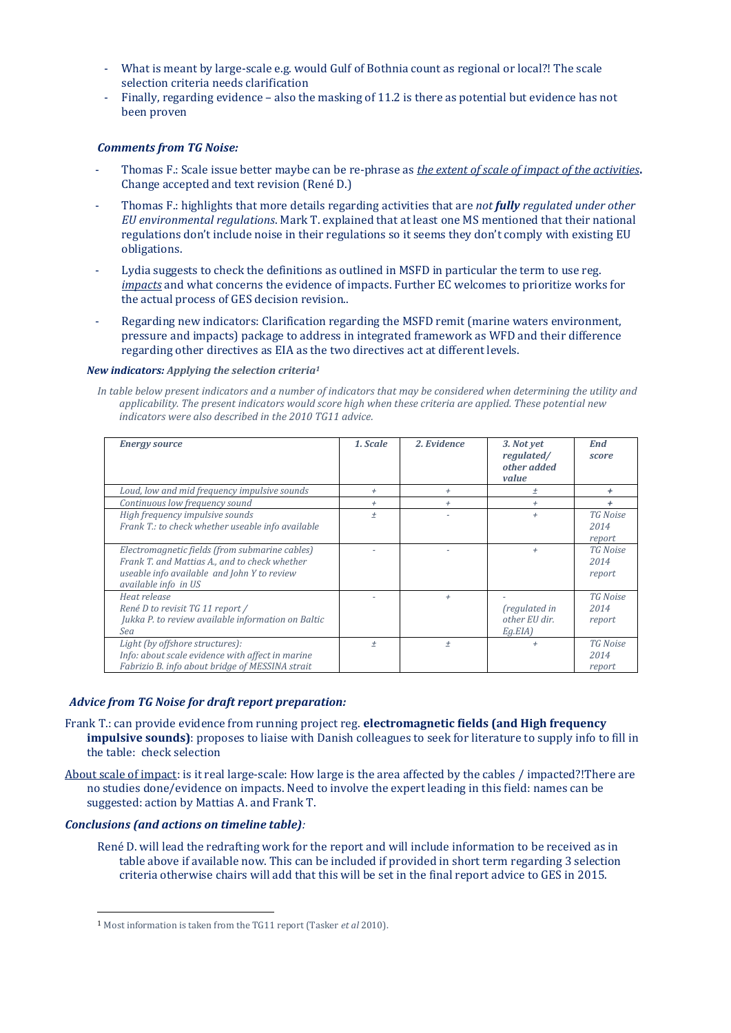- What is meant by large-scale e.g. would Gulf of Bothnia count as regional or local?! The scale selection criteria needs clarification
- Finally, regarding evidence also the masking of 11.2 is there as potential but evidence has not been proven

### *Comments from TG Noise:*

- Thomas F.: Scale issue better maybe can be re-phrase as *the extent of scale of impact of the activities***.**  Change accepted and text revision (René D.)
- Thomas F.: highlights that more details regarding activities that are *not fully regulated under other EU environmental regulations*. Mark T. explained that at least one MS mentioned that their national regulations don't include noise in their regulations so it seems they don't comply with existing EU obligations.
- Lydia suggests to check the definitions as outlined in MSFD in particular the term to use reg. *impacts* and what concerns the evidence of impacts. Further EC welcomes to prioritize works for the actual process of GES decision revision..
- Regarding new indicators: Clarification regarding the MSFD remit (marine waters environment, pressure and impacts) package to address in integrated framework as WFD and their difference regarding other directives as EIA as the two directives act at different levels.

### *New indicators: Applying the selection criteria<sup>1</sup>*

*In table below present indicators and a number of indicators that may be considered when determining the utility and applicability. The present indicators would score high when these criteria are applied. These potential new indicators were also described in the 2010 TG11 advice.*

| <b>Energy source</b>                                                                                                                                                   | 1. Scale | 2. Evidence | 3. Not yet<br>regulated/<br>other added<br>value           | End<br>score                      |
|------------------------------------------------------------------------------------------------------------------------------------------------------------------------|----------|-------------|------------------------------------------------------------|-----------------------------------|
| Loud, low and mid frequency impulsive sounds                                                                                                                           | $^{+}$   | $^{+}$      | $\pm$                                                      | ÷                                 |
| Continuous low frequency sound                                                                                                                                         | $^{+}$   | $^{+}$      | $^{+}$                                                     | ÷                                 |
| High frequency impulsive sounds<br>Frank T.: to check whether useable info available                                                                                   | $^{+}$   |             | $^{+}$                                                     | TG Noise<br>2014<br>report        |
| Electromagnetic fields (from submarine cables)<br>Frank T. and Mattias A., and to check whether<br>useable info available and John Y to review<br>available info in US |          |             | $^{+}$                                                     | <b>TG</b> Noise<br>2014<br>report |
| Heat release<br>René D to revisit TG 11 report /<br>Jukka P. to review available information on Baltic<br>Sea                                                          |          | $^{+}$      | <i><u>fregulated</u></i> in<br>other EU dir.<br>$Eq.EIA$ ) | TG Noise<br>2014<br>report        |
| Light (by offshore structures):<br>Info: about scale evidence with affect in marine<br>Fabrizio B. info about bridge of MESSINA strait                                 | $^{+}$   | $\pm$       | $^{+}$                                                     | <b>TG</b> Noise<br>2014<br>report |

#### *Advice from TG Noise for draft report preparation:*

- Frank T.: can provide evidence from running project reg. **electromagnetic fields (and High frequency impulsive sounds)**: proposes to liaise with Danish colleagues to seek for literature to supply info to fill in the table: check selection
- About scale of impact: is it real large-scale: How large is the area affected by the cables / impacted?!There are no studies done/evidence on impacts. Need to involve the expert leading in this field: names can be suggested: action by Mattias A. and Frank T.

### *Conclusions (and actions on timeline table):*

René D. will lead the redrafting work for the report and will include information to be received as in table above if available now. This can be included if provided in short term regarding 3 selection criteria otherwise chairs will add that this will be set in the final report advice to GES in 2015.

<sup>1</sup> Most information is taken from the TG11 report (Tasker *et al* 2010).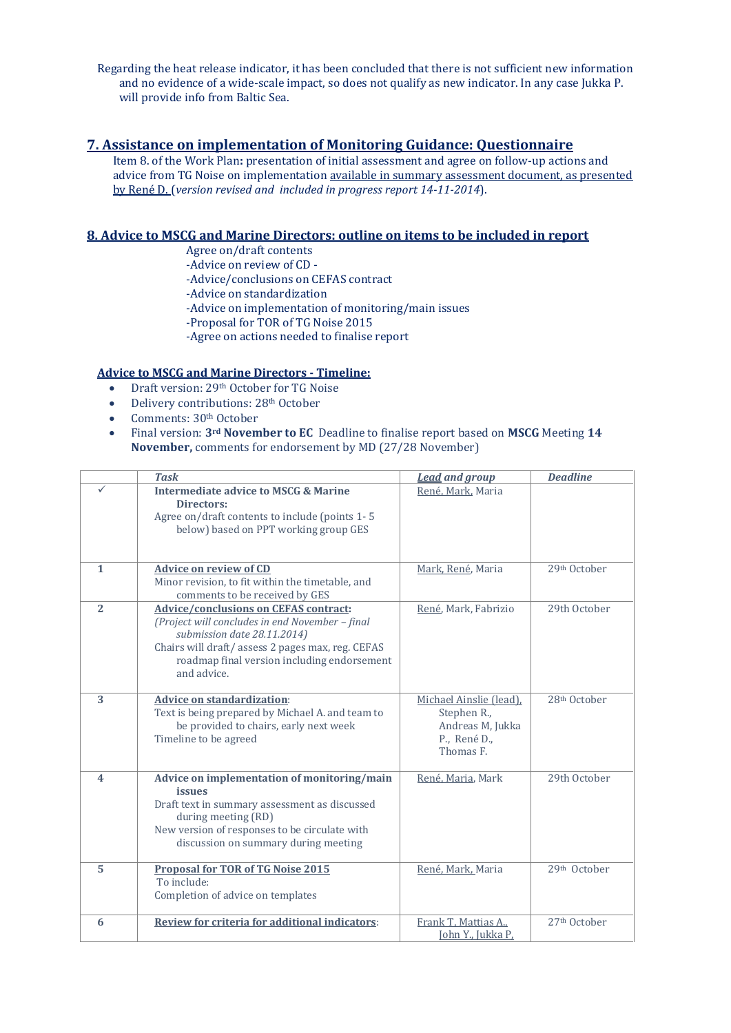Regarding the heat release indicator, it has been concluded that there is not sufficient new information and no evidence of a wide-scale impact, so does not qualify as new indicator. In any case Jukka P. will provide info from Baltic Sea.

# **7. Assistance on implementation of Monitoring Guidance: Questionnaire**

Item 8. of the Work Plan**:** presentation of initial assessment and agree on follow-up actions and advice from TG Noise on implementation available in summary assessment document, as presented by René D. (*version revised and included in progress report 14-11-2014*).

# **8. Advice to MSCG and Marine Directors: outline on items to be included in report**

Agree on/draft contents

- -Advice on review of CD -
- -Advice/conclusions on CEFAS contract
- -Advice on standardization
- -Advice on implementation of monitoring/main issues
- -Proposal for TOR of TG Noise 2015
- -Agree on actions needed to finalise report

# **Advice to MSCG and Marine Directors - Timeline:**

- Draft version: 29<sup>th</sup> October for TG Noise
- Delivery contributions: 28<sup>th</sup> October
- Comments: 30<sup>th</sup> October
- Final version: **3rd November to EC** Deadline to finalise report based on **MSCG** Meeting **14 November,** comments for endorsement by MD (27/28 November)

|                         | <b>Task</b>                                                                                                                                                                                                                                      | <b>Lead</b> and group                                                                   | <b>Deadline</b>          |
|-------------------------|--------------------------------------------------------------------------------------------------------------------------------------------------------------------------------------------------------------------------------------------------|-----------------------------------------------------------------------------------------|--------------------------|
| ✓                       | <b>Intermediate advice to MSCG &amp; Marine</b><br><b>Directors:</b><br>Agree on/draft contents to include (points 1-5<br>below) based on PPT working group GES                                                                                  | René, Mark, Maria                                                                       |                          |
| $\mathbf{1}$            | <b>Advice on review of CD</b><br>Minor revision, to fit within the timetable, and<br>comments to be received by GES                                                                                                                              | Mark, René, Maria                                                                       | 29th October             |
| $\overline{2}$          | <b>Advice/conclusions on CEFAS contract:</b><br>(Project will concludes in end November - final<br>submission date 28.11.2014)<br>Chairs will draft/assess 2 pages max, reg. CEFAS<br>roadmap final version including endorsement<br>and advice. | René, Mark, Fabrizio                                                                    | 29th October             |
| 3                       | <b>Advice on standardization:</b><br>Text is being prepared by Michael A. and team to<br>be provided to chairs, early next week<br>Timeline to be agreed                                                                                         | Michael Ainslie (lead).<br>Stephen R.,<br>Andreas M, Jukka<br>P., René D.,<br>Thomas F. | 28th October             |
| $\overline{\mathbf{4}}$ | Advice on implementation of monitoring/main<br><i>issues</i><br>Draft text in summary assessment as discussed<br>during meeting (RD)<br>New version of responses to be circulate with<br>discussion on summary during meeting                    | René, Maria, Mark                                                                       | 29th October             |
| 5                       | <b>Proposal for TOR of TG Noise 2015</b><br>To include:<br>Completion of advice on templates                                                                                                                                                     | René, Mark, Maria                                                                       | 29th October             |
| 6                       | Review for criteria for additional indicators:                                                                                                                                                                                                   | Frank T, Mattias A.,<br><u>John Y., Jukka P,</u>                                        | 27 <sup>th</sup> October |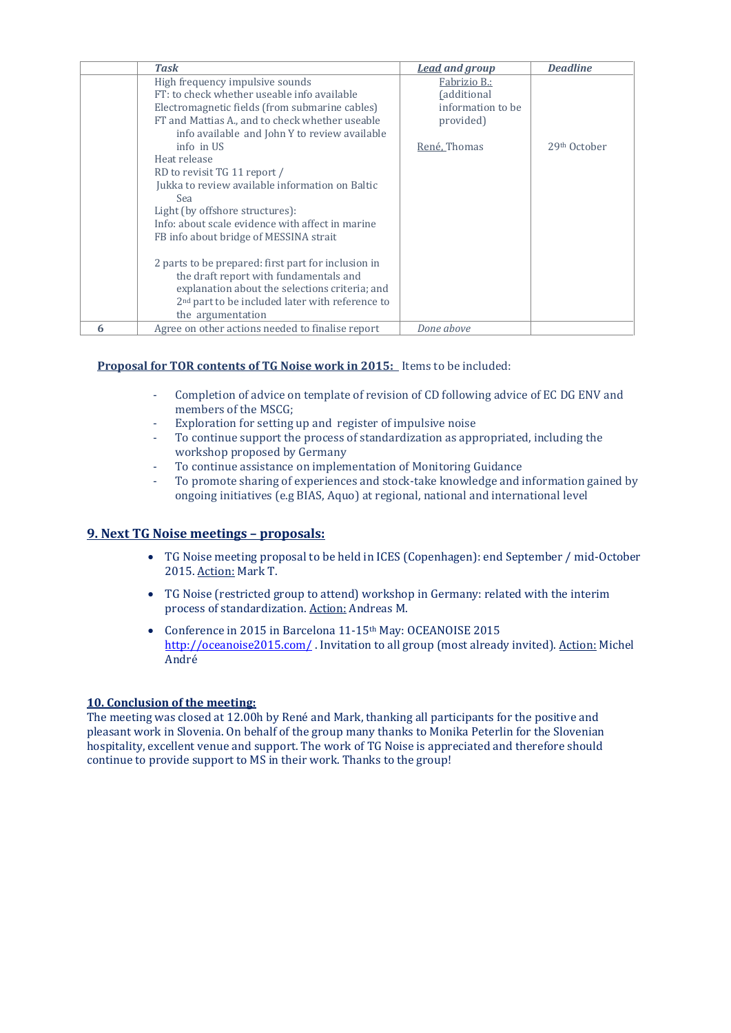|   | Task                                                                                                                                                                                                                                                                                                                                                                                                                                                                    | <b>Lead and group</b>                                                              | <b>Deadline</b>          |
|---|-------------------------------------------------------------------------------------------------------------------------------------------------------------------------------------------------------------------------------------------------------------------------------------------------------------------------------------------------------------------------------------------------------------------------------------------------------------------------|------------------------------------------------------------------------------------|--------------------------|
|   | High frequency impulsive sounds<br>FT: to check whether useable info available<br>Electromagnetic fields (from submarine cables)<br>FT and Mattias A., and to check whether useable<br>info available and John Y to review available                                                                                                                                                                                                                                    | Fabrizio B.:<br><i><u><b>fadditional</b></u></i><br>information to be<br>provided) |                          |
|   | info in US<br>Heat release<br>RD to revisit TG 11 report /<br>Jukka to review available information on Baltic<br>Sea<br>Light (by offshore structures):<br>Info: about scale evidence with affect in marine<br>FB info about bridge of MESSINA strait<br>2 parts to be prepared: first part for inclusion in<br>the draft report with fundamentals and<br>explanation about the selections criteria; and<br>2 <sup>nd</sup> part to be included later with reference to | René, Thomas                                                                       | 29 <sup>th</sup> October |
|   | the argumentation                                                                                                                                                                                                                                                                                                                                                                                                                                                       |                                                                                    |                          |
| 6 | Agree on other actions needed to finalise report                                                                                                                                                                                                                                                                                                                                                                                                                        | Done above                                                                         |                          |

# **Proposal for TOR contents of TG Noise work in 2015:** Items to be included:

- Completion of advice on template of revision of CD following advice of EC DG ENV and members of the MSCG;
- Exploration for setting up and register of impulsive noise
- To continue support the process of standardization as appropriated, including the workshop proposed by Germany
- To continue assistance on implementation of Monitoring Guidance
- To promote sharing of experiences and stock-take knowledge and information gained by ongoing initiatives (e.g BIAS, Aquo) at regional, national and international level

# **9. Next TG Noise meetings – proposals:**

- TG Noise meeting proposal to be held in ICES (Copenhagen): end September / mid-October 2015. Action: Mark T.
- TG Noise (restricted group to attend) workshop in Germany: related with the interim process of standardization. Action: Andreas M.
- Conference in 2015 in Barcelona 11-15<sup>th</sup> May: OCEANOISE 2015 <http://oceanoise2015.com/> . Invitation to all group (most already invited). Action: Michel André

### **10. Conclusion of the meeting:**

The meeting was closed at 12.00h by René and Mark, thanking all participants for the positive and pleasant work in Slovenia. On behalf of the group many thanks to Monika Peterlin for the Slovenian hospitality, excellent venue and support. The work of TG Noise is appreciated and therefore should continue to provide support to MS in their work. Thanks to the group!